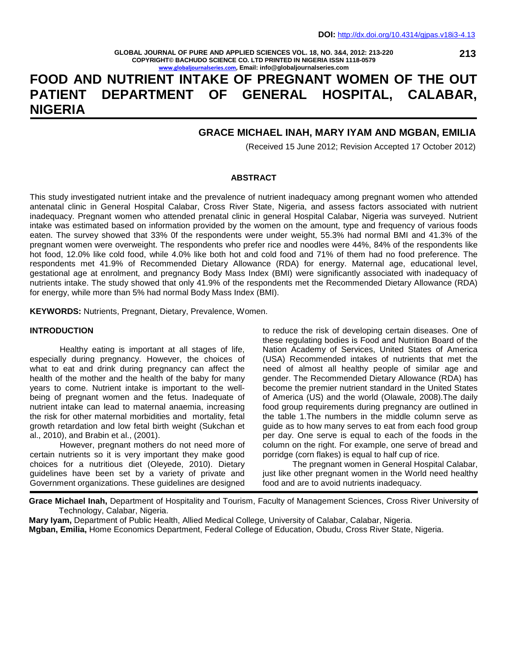**GLOBAL JOURNAL OF PURE AND APPLIED SCIENCES VOL. 18, NO. 3&4, 2012: 213-220 COPYRIGHT© BACHUDO SCIENCE CO. LTD PRINTED IN NIGERIA ISSN 1118-0579 www.globaljournalseries.com, Email: info@globaljournalseries.com**

**213**

# **FOOD AND NUTRIENT INTAKE OF PREGNANT WOMEN OF THE OUT PATIENT DEPARTMENT OF GENERAL HOSPITAL, CALABAR, NIGERIA**

### **GRACE MICHAEL INAH, MARY IYAM AND MGBAN, EMILIA**

(Received 15 June 2012; Revision Accepted 17 October 2012)

### **ABSTRACT**

This study investigated nutrient intake and the prevalence of nutrient inadequacy among pregnant women who attended antenatal clinic in General Hospital Calabar, Cross River State, Nigeria, and assess factors associated with nutrient inadequacy. Pregnant women who attended prenatal clinic in general Hospital Calabar, Nigeria was surveyed. Nutrient intake was estimated based on information provided by the women on the amount, type and frequency of various foods eaten. The survey showed that 33% 0f the respondents were under weight, 55.3% had normal BMI and 41.3% of the pregnant women were overweight. The respondents who prefer rice and noodles were 44%, 84% of the respondents like hot food, 12.0% like cold food, while 4.0% like both hot and cold food and 71% of them had no food preference. The respondents met 41.9% of Recommended Dietary Allowance (RDA) for energy. Maternal age, educational level, gestational age at enrolment, and pregnancy Body Mass Index (BMI) were significantly associated with inadequacy of nutrients intake. The study showed that only 41.9% of the respondents met the Recommended Dietary Allowance (RDA) for energy, while more than 5% had normal Body Mass Index (BMI).

**KEYWORDS:** Nutrients, Pregnant, Dietary, Prevalence, Women.

#### **INTRODUCTION**

Healthy eating is important at all stages of life, especially during pregnancy. However, the choices of what to eat and drink during pregnancy can affect the health of the mother and the health of the baby for many years to come. Nutrient intake is important to the well being of pregnant women and the fetus. Inadequate of nutrient intake can lead to maternal anaemia, increasing the risk for other maternal morbidities and mortality, fetal growth retardation and low fetal birth weight (Sukchan et al., 2010), and Brabin et al., (2001).

However, pregnant mothers do not need more of certain nutrients so it is very important they make good choices for a nutritious diet (Oleyede, 2010). Dietary guidelines have been set by a variety of private and Government organizations. These guidelines are designed to reduce the risk of developing certain diseases. One of these regulating bodies is Food and Nutrition Board of the Nation Academy of Services, United States of America (USA) Recommended intakes of nutrients that met the need of almost all healthy people of similar age and gender. The Recommended Dietary Allowance (RDA) has become the premier nutrient standard in the United States of America (US) and the world (Olawale, 2008).The daily food group requirements during pregnancy are outlined in the table 1.The numbers in the middle column serve as guide as to how many serves to eat from each food group per day. One serve is equal to each of the foods in the column on the right. For example, one serve of bread and porridge (corn flakes) is equal to half cup of rice.

The pregnant women in General Hospital Calabar, just like other pregnant women in the World need healthy food and are to avoid nutrients inadequacy.

**Grace Michael Inah,** Department of Hospitality and Tourism, Faculty of Management Sciences, Cross River University of Technology, Calabar, Nigeria.

**Mary Iyam,** Department of Public Health, Allied Medical College, University of Calabar, Calabar, Nigeria. **Mgban, Emilia,** Home Economics Department, Federal College of Education, Obudu, Cross River State, Nigeria.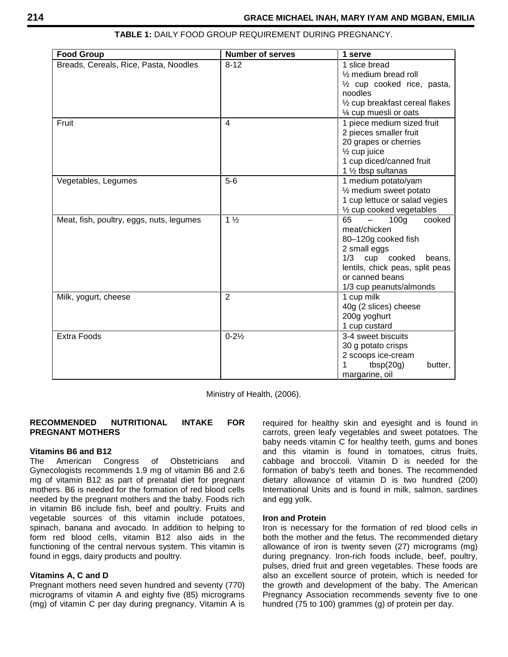| <b>Food Group</b>                        | <b>Number of serves</b>                               | 1 serve                                 |  |
|------------------------------------------|-------------------------------------------------------|-----------------------------------------|--|
| Breads, Cereals, Rice, Pasta, Noodles    | $8 - 12$                                              | 1 slice bread                           |  |
|                                          |                                                       | 1/ <sub>2</sub> medium bread roll       |  |
|                                          |                                                       | 1/ <sub>2</sub> cup cooked rice, pasta, |  |
|                                          |                                                       | noodles                                 |  |
|                                          |                                                       | 1/2 cup breakfast cereal flakes         |  |
|                                          |                                                       | 1⁄4 cup muesli or oats                  |  |
| Fruit                                    | $\overline{4}$                                        | 1 piece medium sized fruit              |  |
|                                          |                                                       | 2 pieces smaller fruit                  |  |
|                                          |                                                       | 20 grapes or cherries                   |  |
|                                          |                                                       | $\frac{1}{2}$ cup juice                 |  |
|                                          |                                                       | 1 cup diced/canned fruit                |  |
|                                          |                                                       | 1 1/2 tbsp sultanas                     |  |
| Vegetables, Legumes                      | $5-6$                                                 | 1 medium potato/yam                     |  |
|                                          |                                                       | 1/2 medium sweet potato                 |  |
|                                          |                                                       | 1 cup lettuce or salad vegies           |  |
|                                          |                                                       | 1/2 cup cooked vegetables               |  |
| Meat, fish, poultry, eggs, nuts, legumes | $1\frac{1}{2}$                                        | 65<br>100 <sub>g</sub><br>cooked<br>$-$ |  |
|                                          |                                                       | meat/chicken                            |  |
|                                          |                                                       | 80-120g cooked fish                     |  |
|                                          |                                                       | 2 small eggs                            |  |
|                                          |                                                       | 1/3<br>cup cooked<br>beans,             |  |
|                                          |                                                       | lentils, chick peas, split peas         |  |
|                                          |                                                       | or canned beans                         |  |
|                                          |                                                       | 1/3 cup peanuts/almonds                 |  |
| Milk, yogurt, cheese                     | $\overline{2}$<br>1 cup milk<br>40g (2 slices) cheese |                                         |  |
|                                          |                                                       |                                         |  |
|                                          |                                                       | 200g yoghurt                            |  |
|                                          |                                                       | 1 cup custard                           |  |
| <b>Extra Foods</b>                       | $0 - 2\frac{1}{2}$                                    | 3-4 sweet biscuits                      |  |
|                                          |                                                       | 30 g potato crisps                      |  |
|                                          |                                                       | 2 scoops ice-cream                      |  |
|                                          |                                                       | $\mathbf{1}$<br>tbsp(20g)<br>butter,    |  |
|                                          |                                                       | margarine, oil                          |  |

**TABLE 1:** DAILY FOOD GROUP REQUIREMENT DURING PREGNANCY.

Ministry of Health, (2006).

### **RECOMMENDED NUTRITIONAL INTAKE FOR PREGNANT MOTHERS**

### **Vitamins B6 and B12**

The American Congress of Obstetricians and Gynecologists recommends 1.9 mg of vitamin B6 and 2.6 mg of vitamin B12 as part of prenatal diet for pregnant mothers. B6 is needed for the formation of red blood cells needed by the pregnant mothers and the baby. Foods rich in vitamin B6 include fish, beef and poultry. Fruits and vegetable sources of this vitamin include potatoes, spinach, banana and avocado. In addition to helping to form red blood cells, vitamin B12 also aids in the functioning of the central nervous system. This vitamin is found in eggs, dairy products and poultry.

### **Vitamins A, C and D**

Pregnant mothers need seven hundred and seventy (770) micrograms of vitamin A and eighty five (85) micrograms (mg) of vitamin C per day during pregnancy. Vitamin A is

required for healthy skin and eyesight and is found in carrots, green leafy vegetables and sweet potatoes. The baby needs vitamin C for healthy teeth, gums and bones and this vitamin is found in tomatoes, citrus fruits, cabbage and broccoli. Vitamin D is needed for the formation of baby's teeth and bones. The recommended dietary allowance of vitamin D is two hundred (200) International Units and is found in milk, salmon, sardines and egg yolk.

### **Iron and Protein**

Iron is necessary for the formation of red blood cells in both the mother and the fetus. The recommended dietary allowance of iron is twenty seven (27) micrograms (mg) during pregnancy. Iron-rich foods include, beef, poultry, pulses, dried fruit and green vegetables. These foods are also an excellent source of protein, which is needed for the growth and development of the baby. The American Pregnancy Association recommends seventy five to one hundred (75 to 100) grammes (g) of protein per day.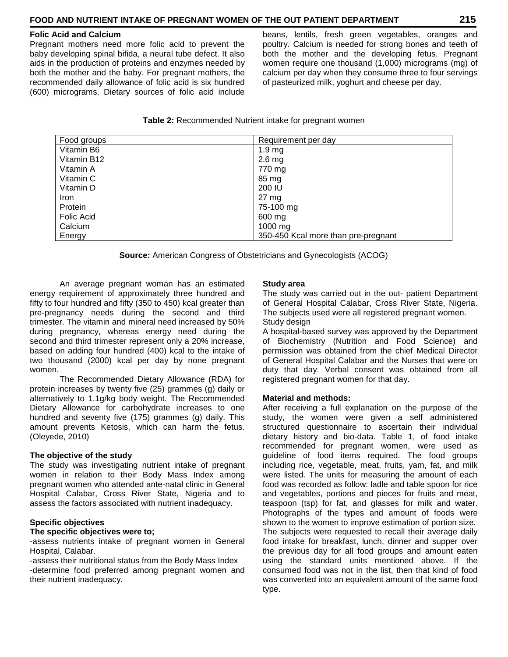#### **Folic Acid and Calcium**

Pregnant mothers need more folic acid to prevent the baby developing spinal bifida, a neural tube defect. It also aids in the production of proteins and enzymes needed by both the mother and the baby. For pregnant mothers, the recommended daily allowance of folic acid is six hundred (600) micrograms. Dietary sources of folic acid include beans, lentils, fresh green vegetables, oranges and poultry. Calcium is needed for strong bones and teeth of both the mother and the developing fetus. Pregnant women require one thousand (1,000) micrograms (mg) of calcium per day when they consume three to four servings of pasteurized milk, yoghurt and cheese per day.

#### **Table 2:** Recommended Nutrient intake for pregnant women

| Food groups | Requirement per day                 |
|-------------|-------------------------------------|
| Vitamin B6  | 1.9 <sub>mg</sub>                   |
| Vitamin B12 | 2.6 <sub>mg</sub>                   |
| Vitamin A   | 770 mg                              |
| Vitamin C   | 85 mg                               |
| Vitamin D   | 200 IU                              |
| <b>Iron</b> | $27 \text{ mg}$                     |
| Protein     | 75-100 mg                           |
| Folic Acid  | 600 mg                              |
| Calcium     | 1000 mg                             |
| Energy      | 350-450 Kcal more than pre-pregnant |

| <b>Source:</b> American Congress of Obstetricians and Gynecologists (ACOG) |  |
|----------------------------------------------------------------------------|--|
|----------------------------------------------------------------------------|--|

An average pregnant woman has an estimated energy requirement of approximately three hundred and fifty to four hundred and fifty (350 to 450) kcal greater than pre-pregnancy needs during the second and third trimester. The vitamin and mineral need increased by 50% during pregnancy, whereas energy need during the second and third trimester represent only a 20% increase, based on adding four hundred (400) kcal to the intake of two thousand (2000) kcal per day by none pregnant women.

The Recommended Dietary Allowance (RDA) for protein increases by twenty five (25) grammes (g) daily or alternatively to 1.1g/kg body weight. The Recommended Dietary Allowance for carbohydrate increases to one hundred and seventy five (175) grammes (g) daily. This amount prevents Ketosis, which can harm the fetus. (Oleyede, 2010)

### **The objective of the study**

The study was investigating nutrient intake of pregnant women in relation to their Body Mass Index among pregnant women who attended ante-natal clinic in General Hospital Calabar, Cross River State, Nigeria and to assess the factors associated with nutrient inadequacy.

### **Specific objectives**

#### **The specific objectives were to;**

-assess nutrients intake of pregnant women in General Hospital, Calabar.

-assess their nutritional status from the Body Mass Index -determine food preferred among pregnant women and their nutrient inadequacy.

#### **Study area**

The study was carried out in the out- patient Department of General Hospital Calabar, Cross River State, Nigeria. The subjects used were all registered pregnant women. Study design

A hospital-based survey was approved by the Department of Biochemistry (Nutrition and Food Science) and permission was obtained from the chief Medical Director of General Hospital Calabar and the Nurses that were on duty that day. Verbal consent was obtained from all registered pregnant women for that day.

#### **Material and methods:**

After receiving a full explanation on the purpose of the study, the women were given a self administered structured questionnaire to ascertain their individual dietary history and bio-data. Table 1, of food intake recommended for pregnant women, were used as guideline of food items required. The food groups including rice, vegetable, meat, fruits, yam, fat, and milk were listed. The units for measuring the amount of each food was recorded as follow: ladle and table spoon for rice and vegetables, portions and pieces for fruits and meat, teaspoon (tsp) for fat, and glasses for milk and water. Photographs of the types and amount of foods were shown to the women to improve estimation of portion size. The subjects were requested to recall their average daily food intake for breakfast, lunch, dinner and supper over the previous day for all food groups and amount eaten using the standard units mentioned above. If the consumed food was not in the list, then that kind of food was converted into an equivalent amount of the same food type.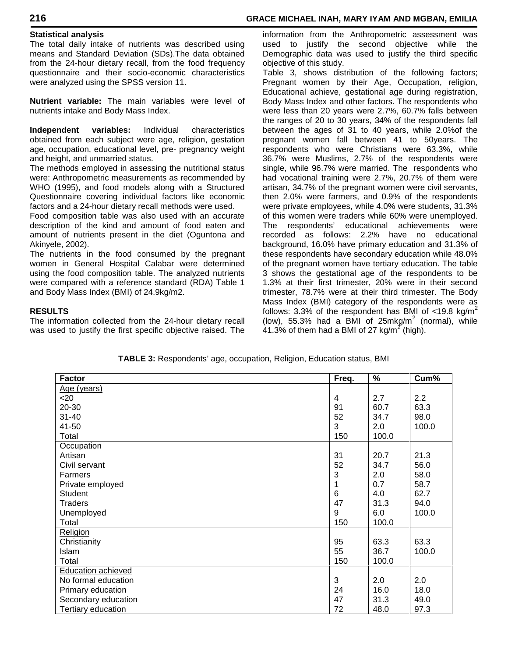### **216 GRACE MICHAEL INAH, MARY IYAM AND MGBAN, EMILIA**

#### **Statistical analysis**

The total daily intake of nutrients was described using means and Standard Deviation (SDs).The data obtained from the 24-hour dietary recall, from the food frequency questionnaire and their socio-economic characteristics were analyzed using the SPSS version 11.

**Nutrient variable:** The main variables were level of nutrients intake and Body Mass Index.

**Independent variables:** Individual characteristics obtained from each subject were age, religion, gestation age, occupation, educational level, pre- pregnancy weight and height, and unmarried status.

The methods employed in assessing the nutritional status were: Anthropometric measurements as recommended by WHO (1995), and food models along with a Structured Questionnaire covering individual factors like economic factors and a 24-hour dietary recall methods were used.

Food composition table was also used with an accurate description of the kind and amount of food eaten and amount of nutrients present in the diet (Oguntona and Akinyele, 2002).

The nutrients in the food consumed by the pregnant women in General Hospital Calabar were determined using the food composition table. The analyzed nutrients were compared with a reference standard (RDA) Table 1 and Body Mass Index (BMI) of 24.9kg/m2.

#### **RESULTS**

The information collected from the 24-hour dietary recall was used to justify the first specific objective raised. The information from the Anthropometric assessment was used to justify the second objective while the Demographic data was used to justify the third specific objective of this study.

Table 3, shows distribution of the following factors; Pregnant women by their Age, Occupation, religion, Educational achieve, gestational age during registration, Body Mass Index and other factors. The respondents who were less than 20 years were 2.7%, 60.7% falls between the ranges of 20 to 30 years, 34% of the respondents fall between the ages of 31 to 40 years, while 2.0%of the pregnant women fall between 41 to 50years. The respondents who were Christians were 63.3%, while 36.7% were Muslims, 2.7% of the respondents were single, while 96.7% were married. The respondents who had vocational training were 2.7%, 20.7% of them were artisan, 34.7% of the pregnant women were civil servants, then 2.0% were farmers, and 0.9% of the respondents were private employees, while 4.0% were students, 31.3% of this women were traders while 60% were unemployed. The respondents' educational achievements were recorded as follows: 2.2% have no educational background, 16.0% have primary education and 31.3% of these respondents have secondary education while 48.0% of the pregnant women have tertiary education. The table 3 shows the gestational age of the respondents to be 1.3% at their first trimester, 20% were in their second trimester, 78.7% were at their third trimester. The Body Mass Index (BMI) category of the respondents were as follows: 3.3% of the respondent has BMI of  $\langle$ 19.8 kg/m<sup>2</sup> (low), 55.3% had a BMI of 25mkg/m<sup>2</sup> (normal), while 41.3% of them had a BMI of 27 kg/m $^2$  (high).

| <b>TABLE 3: Respondents' age, occupation, Religion, Education status, BMI</b> |
|-------------------------------------------------------------------------------|
|-------------------------------------------------------------------------------|

| <b>Factor</b>             | Freq.          | %     | Cum%  |
|---------------------------|----------------|-------|-------|
| Age (years)               |                |       |       |
| $20$                      | 4              | 2.7   | 2.2   |
| 20-30                     | 91             | 60.7  | 63.3  |
| $31 - 40$                 | 52             | 34.7  | 98.0  |
| 41-50                     | 3              | 2.0   | 100.0 |
| Total                     | 150            | 100.0 |       |
| <b>Occupation</b>         |                |       |       |
| Artisan                   | 31             | 20.7  | 21.3  |
| Civil servant             | 52             | 34.7  | 56.0  |
| Farmers                   | $\sqrt{3}$     | 2.0   | 58.0  |
| Private employed          | 1              | 0.7   | 58.7  |
| Student                   | $\,6$          | 4.0   | 62.7  |
| <b>Traders</b>            | 47             | 31.3  | 94.0  |
| Unemployed                | 9              | 6.0   | 100.0 |
| Total                     | 150            | 100.0 |       |
| Religion                  |                |       |       |
| Christianity              | 95             | 63.3  | 63.3  |
| Islam                     | 55             | 36.7  | 100.0 |
| Total                     | 150            | 100.0 |       |
| <b>Education achieved</b> |                |       |       |
| No formal education       | $\mathfrak{B}$ | 2.0   | 2.0   |
| Primary education         | 24             | 16.0  | 18.0  |
| Secondary education       | 47             | 31.3  | 49.0  |
| Tertiary education        | 72             | 48.0  | 97.3  |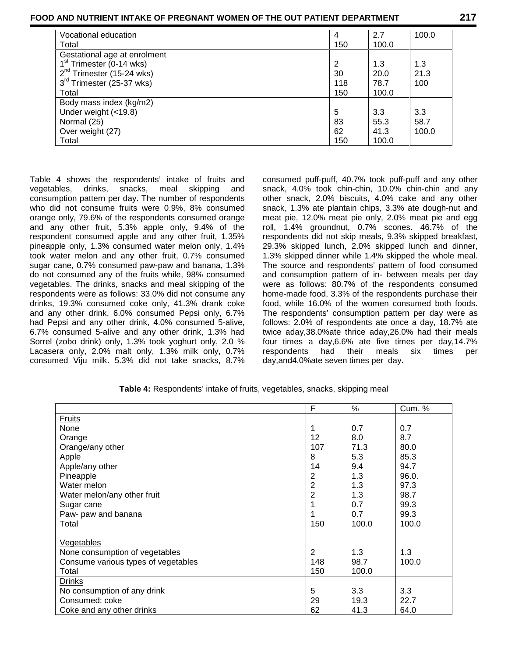#### Vocational education Total 4 150 2.7 100.0 100.0 Gestational age at enrolment 1<sup>st</sup> Trimester (0-14 wks) 2<sup>nd</sup> Trimester (15-24 wks) 3<sup>rd</sup> Trimester (25-37 wks) Total 2 30 118 150 1.3 20.0 78.7 100.0 1.3 21.3 100 Body mass index (kg/m2) Under weight (<19.8) Normal (25) Over weight (27) Total 5 83 62 150 3.3 55.3 41.3 100.0 3.3 58.7 100.0

Table 4 shows the respondents' intake of fruits and vegetables, drinks, snacks, meal skipping and consumption pattern per day. The number of respondents who did not consume fruits were 0.9%, 8% consumed orange only, 79.6% of the respondents consumed orange and any other fruit, 5.3% apple only, 9.4% of the respondent consumed apple and any other fruit, 1.35% pineapple only, 1.3% consumed water melon only, 1.4% took water melon and any other fruit, 0.7% consumed sugar cane, 0.7% consumed paw-paw and banana, 1.3% do not consumed any of the fruits while, 98% consumed vegetables. The drinks, snacks and meal skipping of the respondents were as follows: 33.0% did not consume any drinks, 19.3% consumed coke only, 41.3% drank coke and any other drink, 6.0% consumed Pepsi only, 6.7% had Pepsi and any other drink, 4.0% consumed 5-alive, 6.7% consumed 5-alive and any other drink, 1.3% had Sorrel (zobo drink) only, 1.3% took yoghurt only, 2.0 % Lacasera only, 2.0% malt only, 1.3% milk only, 0.7% consumed Viju milk. 5.3% did not take snacks, 8.7% consumed puff-puff, 40.7% took puff-puff and any other snack, 4.0% took chin-chin, 10.0% chin-chin and any other snack, 2.0% biscuits, 4.0% cake and any other snack, 1.3% ate plantain chips, 3.3% ate dough-nut and meat pie, 12.0% meat pie only, 2.0% meat pie and egg roll, 1.4% groundnut, 0.7% scones. 46.7% of the respondents did not skip meals, 9.3% skipped breakfast, 29.3% skipped lunch, 2.0% skipped lunch and dinner, 1.3% skipped dinner while 1.4% skipped the whole meal. The source and respondents' pattern of food consumed and consumption pattern of in- between meals per day were as follows: 80.7% of the respondents consumed home-made food, 3.3% of the respondents purchase their food, while 16.0% of the women consumed both foods. The respondents' consumption pattern per day were as follows: 2.0% of respondents ate once a day, 18.7% ate twice aday,38.0%ate thrice aday,26.0% had their meals four times a day,6.6% ate five times per day,14.7% respondents had their meals six times per day,and4.0%ate seven times per day.

|                                     | F               | %     | <b>Cum. %</b> |
|-------------------------------------|-----------------|-------|---------------|
| <b>Fruits</b>                       |                 |       |               |
| None                                |                 | 0.7   | 0.7           |
| Orange                              | 12 <sub>2</sub> | 8.0   | 8.7           |
| Orange/any other                    | 107             | 71.3  | 80.0          |
| Apple                               | 8               | 5.3   | 85.3          |
| Apple/any other                     | 14              | 9.4   | 94.7          |
| Pineapple                           | 2               | 1.3   | 96.0.         |
| Water melon                         | 2               | 1.3   | 97.3          |
| Water melon/any other fruit         | $\overline{2}$  | 1.3   | 98.7          |
| Sugar cane                          |                 | 0.7   | 99.3          |
| Paw- paw and banana                 |                 | 0.7   | 99.3          |
| Total                               | 150             | 100.0 | 100.0         |
|                                     |                 |       |               |
| Vegetables                          |                 |       |               |
| None consumption of vegetables      | $\overline{2}$  | 1.3   | 1.3           |
| Consume various types of vegetables | 148             | 98.7  | 100.0         |
| Total                               | 150             | 100.0 |               |
| <b>Drinks</b>                       |                 |       |               |
| No consumption of any drink         | $5\phantom{.0}$ | 3.3   | 3.3           |
| Consumed: coke                      | 29              | 19.3  | 22.7          |
| Coke and any other drinks           | 62              | 41.3  | 64.0          |

**Table 4:** Respondents' intake of fruits, vegetables, snacks, skipping meal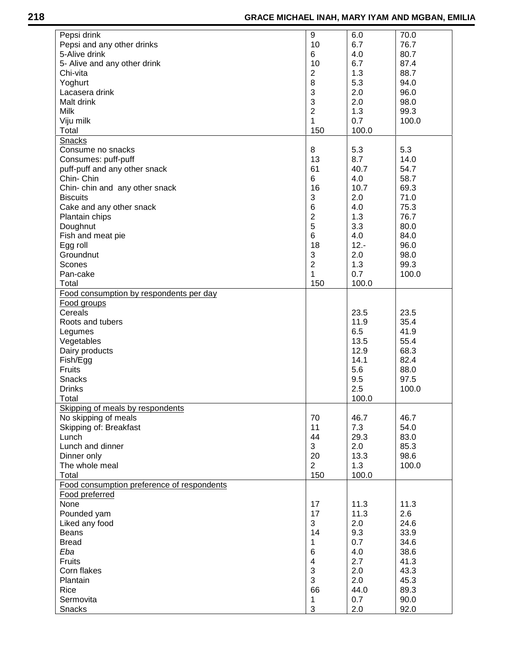## **218 GRACE MICHAEL INAH, MARY IYAM AND MGBAN, EMILIA**

| Pepsi drink                                | 9                         | 6.0     | 70.0  |
|--------------------------------------------|---------------------------|---------|-------|
| Pepsi and any other drinks                 | 10                        | 6.7     | 76.7  |
| 5-Alive drink                              | 6                         | 4.0     | 80.7  |
| 5- Alive and any other drink               | 10                        | 6.7     | 87.4  |
| Chi-vita                                   | $\overline{2}$            | 1.3     | 88.7  |
| Yoghurt                                    | 8                         | 5.3     | 94.0  |
| Lacasera drink                             | $\mathbf{3}$              | 2.0     | 96.0  |
| Malt drink                                 | 3                         | 2.0     | 98.0  |
| <b>Milk</b>                                | $\overline{2}$            |         |       |
|                                            |                           | 1.3     | 99.3  |
| Viju milk                                  | $\mathbf{1}$              | 0.7     | 100.0 |
| Total                                      | 150                       | 100.0   |       |
| <b>Snacks</b>                              |                           |         |       |
| Consume no snacks                          | 8                         | 5.3     | 5.3   |
| Consumes: puff-puff                        | 13                        | 8.7     | 14.0  |
| puff-puff and any other snack              | 61                        | 40.7    | 54.7  |
| Chin-Chin                                  | 6                         | 4.0     | 58.7  |
| Chin- chin and any other snack             | 16                        | 10.7    | 69.3  |
| <b>Biscuits</b>                            | 3                         | 2.0     | 71.0  |
| Cake and any other snack                   | $\,6$                     | 4.0     | 75.3  |
| Plantain chips                             | $\boldsymbol{2}$          | 1.3     | 76.7  |
| Doughnut                                   | 5                         | 3.3     | 80.0  |
| Fish and meat pie                          | 6                         | 4.0     | 84.0  |
| Egg roll                                   | 18                        | $12. -$ | 96.0  |
| Groundnut                                  | $\sqrt{3}$                | 2.0     | 98.0  |
|                                            |                           |         |       |
| Scones                                     | $\overline{2}$            | 1.3     | 99.3  |
| Pan-cake                                   | 1                         | 0.7     | 100.0 |
| Total                                      | 150                       | 100.0   |       |
| Food consumption by respondents per day    |                           |         |       |
| Food groups                                |                           |         |       |
| Cereals                                    |                           | 23.5    | 23.5  |
| Roots and tubers                           |                           | 11.9    | 35.4  |
| Legumes                                    |                           | 6.5     | 41.9  |
| Vegetables                                 |                           | 13.5    | 55.4  |
| Dairy products                             |                           | 12.9    | 68.3  |
| Fish/Egg                                   |                           | 14.1    | 82.4  |
| Fruits                                     |                           | 5.6     | 88.0  |
| Snacks                                     |                           | 9.5     | 97.5  |
| <b>Drinks</b>                              |                           | 2.5     | 100.0 |
| Total                                      |                           | 100.0   |       |
|                                            |                           |         |       |
| Skipping of meals by respondents           |                           |         | 46.7  |
| No skipping of meals                       | 70                        | 46.7    |       |
| Skipping of: Breakfast                     | 11                        | 7.3     | 54.0  |
| Lunch                                      | 44                        | 29.3    | 83.0  |
| Lunch and dinner                           | 3                         | 2.0     | 85.3  |
| Dinner only                                | 20                        | 13.3    | 98.6  |
| The whole meal                             | $\overline{2}$            | 1.3     | 100.0 |
| Total                                      | 150                       | 100.0   |       |
| Food consumption preference of respondents |                           |         |       |
| Food preferred                             |                           |         |       |
| None                                       | 17                        | 11.3    | 11.3  |
| Pounded yam                                | 17                        | 11.3    | 2.6   |
| Liked any food                             | 3                         | 2.0     | 24.6  |
| <b>Beans</b>                               | 14                        | 9.3     | 33.9  |
| <b>Bread</b>                               | 1                         | 0.7     | 34.6  |
| Eba                                        | $\,6$                     | 4.0     | 38.6  |
| <b>Fruits</b>                              | $\overline{\mathbf{4}}$   | 2.7     | 41.3  |
| Corn flakes                                | $\ensuremath{\mathsf{3}}$ | 2.0     | 43.3  |
|                                            | 3                         |         |       |
| Plantain                                   |                           | 2.0     | 45.3  |
| Rice                                       | 66                        | 44.0    | 89.3  |
| Sermovita                                  | 1                         | 0.7     | 90.0  |
| Snacks                                     | $\mathfrak{S}$            | 2.0     | 92.0  |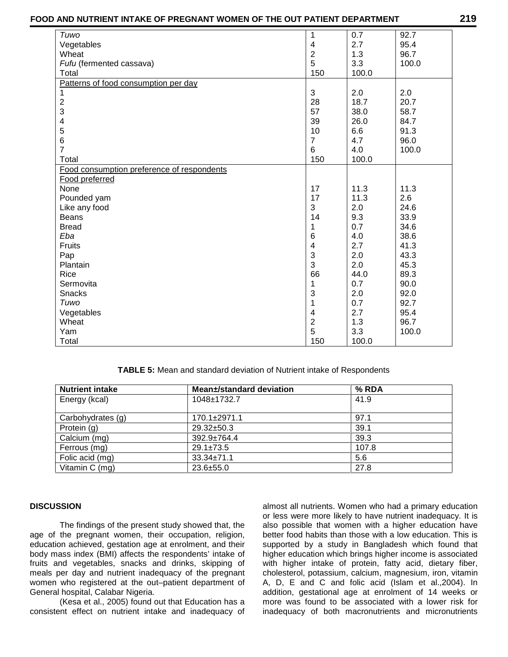| Tuwo                                       | 1                         | 0.7   | 92.7  |
|--------------------------------------------|---------------------------|-------|-------|
| Vegetables                                 | $\overline{\mathbf{4}}$   | 2.7   | 95.4  |
| Wheat                                      | $\overline{2}$            | 1.3   | 96.7  |
| Fufu (fermented cassava)                   | 5                         | 3.3   | 100.0 |
| Total                                      | 150                       | 100.0 |       |
| Patterns of food consumption per day       |                           |       |       |
|                                            | 3                         | 2.0   | 2.0   |
| 1                                          |                           | 18.7  |       |
| $\overline{2}$                             | 28                        |       | 20.7  |
| 3                                          | 57                        | 38.0  | 58.7  |
| 4                                          | 39                        | 26.0  | 84.7  |
| 5                                          | 10                        | 6.6   | 91.3  |
| 6                                          | $\overline{7}$            | 4.7   | 96.0  |
| $\overline{7}$                             | $6\phantom{1}$            | 4.0   | 100.0 |
| Total                                      | 150                       | 100.0 |       |
| Food consumption preference of respondents |                           |       |       |
| Food preferred                             |                           |       |       |
| None                                       | 17                        | 11.3  | 11.3  |
| Pounded yam                                | 17                        | 11.3  | 2.6   |
| Like any food                              | 3                         | 2.0   | 24.6  |
| <b>Beans</b>                               | 14                        | 9.3   | 33.9  |
| <b>Bread</b>                               | 1                         | 0.7   | 34.6  |
| Eba                                        | 6                         | 4.0   | 38.6  |
| Fruits                                     | $\overline{\mathbf{4}}$   | 2.7   | 41.3  |
| Pap                                        | $\ensuremath{\mathsf{3}}$ | 2.0   | 43.3  |
| Plantain                                   | 3                         | 2.0   | 45.3  |
| Rice                                       | 66                        | 44.0  | 89.3  |
| Sermovita                                  | 1                         | 0.7   | 90.0  |
| Snacks                                     | $\mathsf 3$               | 2.0   | 92.0  |
| Tuwo                                       | 1                         | 0.7   | 92.7  |
| Vegetables                                 | 4                         | 2.7   | 95.4  |
| Wheat                                      | $\overline{2}$            | 1.3   | 96.7  |
| Yam                                        | 5                         | 3.3   | 100.0 |
| Total                                      | 150                       | 100.0 |       |

#### **FOOD AND NUTRIENT INTAKE OF PREGNANT WOMEN OF THE OUT PATIENT DEPARTMENT 219**

**TABLE 5:** Mean and standard deviation of Nutrient intake of Respondents

| <b>Nutrient intake</b> | Mean±/standard deviation | % RDA |
|------------------------|--------------------------|-------|
| Energy (kcal)          | 1048±1732.7              | 41.9  |
| Carbohydrates (g)      | $170.1 + 2971.1$         | 97.1  |
| Protein (g)            | $29.32 \pm 50.3$         | 39.1  |
| Calcium (mg)           | $392.9 \pm 764.4$        | 39.3  |
| Ferrous (mg)           | $29.1 \pm 73.5$          | 107.8 |
| Folic acid (mg)        | $33.34 \pm 71.1$         | 5.6   |
| Vitamin C (mg)         | $23.6 \pm 55.0$          | 27.8  |

#### **DISCUSSION**

The findings of the present study showed that, the age of the pregnant women, their occupation, religion, education achieved, gestation age at enrolment, and their body mass index (BMI) affects the respondents' intake of fruits and vegetables, snacks and drinks, skipping of meals per day and nutrient inadequacy of the pregnant women who registered at the out–patient department of General hospital, Calabar Nigeria.

(Kesa et al., 2005) found out that Education has a consistent effect on nutrient intake and inadequacy of almost all nutrients. Women who had a primary education or less were more likely to have nutrient inadequacy. It is also possible that women with a higher education have better food habits than those with a low education. This is supported by a study in Bangladesh which found that higher education which brings higher income is associated with higher intake of protein, fatty acid, dietary fiber, cholesterol, potassium, calcium, magnesium, iron, vitamin A, D, E and C and folic acid (Islam et al.,2004). In addition, gestational age at enrolment of 14 weeks or more was found to be associated with a lower risk for inadequacy of both macronutrients and micronutrients